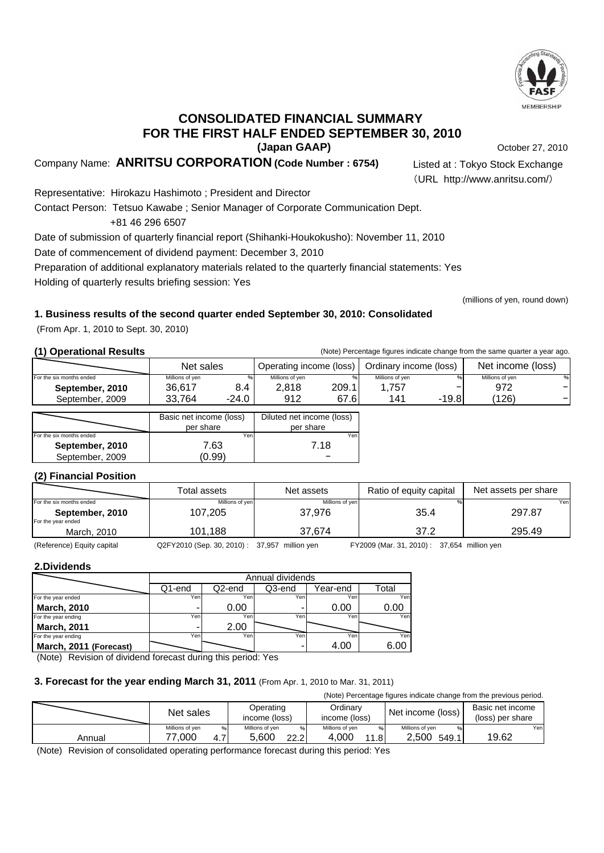

October 27, 2010

### **(Japan GAAP) CONSOLIDATED FINANCIAL SUMMARY FOR THE FIRST HALF ENDED SEPTEMBER 30, 2010**

Company Name: **ANRITSU CORPORATION (Code Number : 6754)** Listed at : Tokyo Stock Exchange

(URL http://www.anritsu.com/)

(millions of yen, round down)

Representative: Hirokazu Hashimoto ; President and Director Contact Person: Tetsuo Kawabe ; Senior Manager of Corporate Communication Dept. +81 46 296 6507 Date of submission of quarterly financial report (Shihanki-Houkokusho): November 11, 2010 Date of commencement of dividend payment: December 3, 2010 Preparation of additional explanatory materials related to the quarterly financial statements: Yes

Holding of quarterly results briefing session: Yes

### **1. Business results of the second quarter ended September 30, 2010: Consolidated**

(From Apr. 1, 2010 to Sept. 30, 2010)

**(1) Operational Results** (Note) Percentage figures indicate change from the same quarter a year ago.

|                          | Net sales       |         | Operating income (loss) |       | Ordinary income (loss) |         | Net income (loss) |   |
|--------------------------|-----------------|---------|-------------------------|-------|------------------------|---------|-------------------|---|
| For the six months ended | Millions of ven | $\%$    | Millions of ven         |       | Millions of ven        | %       | Millions of ven   | % |
| September, 2010          | 36.617          | 8.4     | 2.818                   | 209.1 | .757                   |         | 972               |   |
| September, 2009          | 33.764          | $-24.0$ | 912                     | 67.61 | 141                    | $-19.8$ | (126)             |   |
|                          |                 |         |                         |       |                        |         |                   |   |

|                          | Basic net income (loss) | Diluted net income (loss) |  |  |
|--------------------------|-------------------------|---------------------------|--|--|
|                          | per share               | per share                 |  |  |
| For the six months ended | Yenl                    | Yen                       |  |  |
| September, 2010          | 7.63                    | 7.18                      |  |  |
| September, 2009          | (0.99)                  |                           |  |  |

### **(2) Financial Position**

|                          | Total assets    | Net assets      | Ratio of equity capital | Net assets per share |
|--------------------------|-----------------|-----------------|-------------------------|----------------------|
| For the six months ended | Millions of yen | Millions of yen |                         | Yenl                 |
| September, 2010          | 107,205         | 37.976          | 35.4                    | 297.87               |
| For the year ended       |                 |                 |                         |                      |
| March, 2010              | 101.188         | 37.674          | 37.2                    | 295.49               |

(Reference) Equity capital Q2FY2010 (Sep. 30, 2010) : 37,957 million yen FY2009 (Mar. 31, 2010) : 37,654 million yen

### **2.Dividends**

|                        | Annual dividends |        |        |          |       |  |  |
|------------------------|------------------|--------|--------|----------|-------|--|--|
|                        | Q1-end           | Q2-end | Q3-end | Year-end | Total |  |  |
| For the year ended     | Yen              | Yen    | Yeni   | Yen.     | Yen   |  |  |
| March, 2010            |                  | 0.00   |        | 0.00     | 0.00  |  |  |
| For the year ending    | Yen              | Yen    | Yen    | Yen.     | Yen   |  |  |
| March, 2011            |                  | 2.00   |        |          |       |  |  |
| For the year ending    | Yen              | Yen    | Yeni   | Yen      | Yen   |  |  |
| March, 2011 (Forecast) |                  |        |        |          | 6.00  |  |  |

(Note) Revision of dividend forecast during this period: Yes

### **3. Forecast for the year ending March 31, 2011** (From Apr. 1, 2010 to Mar. 31, 2011)

| (Note) Percentage figures indicate change from the previous period. |                 |               |                 |      |                 |      |                   |       |                  |      |
|---------------------------------------------------------------------|-----------------|---------------|-----------------|------|-----------------|------|-------------------|-------|------------------|------|
|                                                                     | Net sales       |               | Operating       |      | Ordinary        |      | Net income (loss) |       | Basic net income |      |
|                                                                     |                 | income (loss) |                 |      | income (loss)   |      |                   |       | (loss) per share |      |
|                                                                     | Millions of ven | $\%$          | Millions of ven | 9/6  | Millions of ven | $\%$ | Millions of ven   |       |                  | Yenl |
| Annual                                                              | 77.000          | 4.7           | 5.600           | 22.2 | 4.000           | 11.8 | 2.500             | 549.1 | 19.62            |      |

(Note) Revision of consolidated operating performance forecast during this period: Yes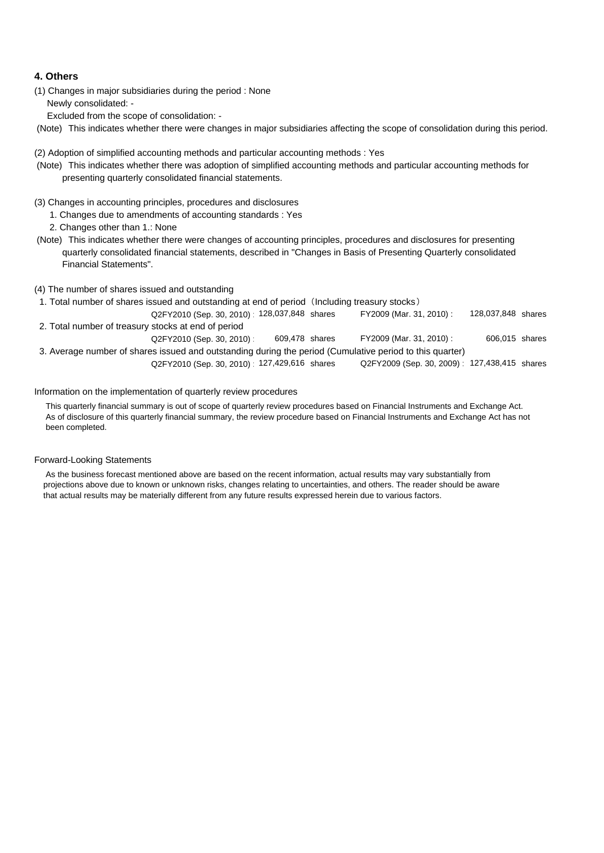### **4. Others**

(1) Changes in major subsidiaries during the period : None Newly consolidated: -

Excluded from the scope of consolidation: -

(Note) This indicates whether there were changes in major subsidiaries affecting the scope of consolidation during this period.

(2) Adoption of simplified accounting methods and particular accounting methods : Yes

- (Note) This indicates whether there was adoption of simplified accounting methods and particular accounting methods for presenting quarterly consolidated financial statements.
- (3) Changes in accounting principles, procedures and disclosures
	- 1. Changes due to amendments of accounting standards : Yes
	- 2. Changes other than 1.: None
- (Note) This indicates whether there were changes of accounting principles, procedures and disclosures for presenting quarterly consolidated financial statements, described in "Changes in Basis of Presenting Quarterly consolidated Financial Statements".
- (4) The number of shares issued and outstanding
- 1. Total number of shares issued and outstanding at end of period (Including treasury stocks)
- Q2FY2010 (Sep. 30, 2010) : 128,037,848 shares FY2009 (Mar. 31, 2010) : 128,037,848 shares 2. Total number of treasury stocks at end of period FY2009 (Mar. 31, 2010):
- Q2FY2010 (Sep. 30, 2010) : 609,478 shares FY2009 (Mar. 31, 2010) : 3. Average number of shares issued and outstanding during the period (Cumulative period to this quarter) 606,015 609,478

Q2FY2010 (Sep. 30, 2010) : 127,429,616 shares Q2FY2009 (Sep. 30, 2009) : 127,438,415 shares Q2FY2010 (Sep. 30, 2010) 127,429,616 shares

#### Information on the implementation of quarterly review procedures

 This quarterly financial summary is out of scope of quarterly review procedures based on Financial Instruments and Exchange Act. As of disclosure of this quarterly financial summary, the review procedure based on Financial Instruments and Exchange Act has not been completed.

#### Forward-Looking Statements

 As the business forecast mentioned above are based on the recent information, actual results may vary substantially from projections above due to known or unknown risks, changes relating to uncertainties, and others. The reader should be aware that actual results may be materially different from any future results expressed herein due to various factors.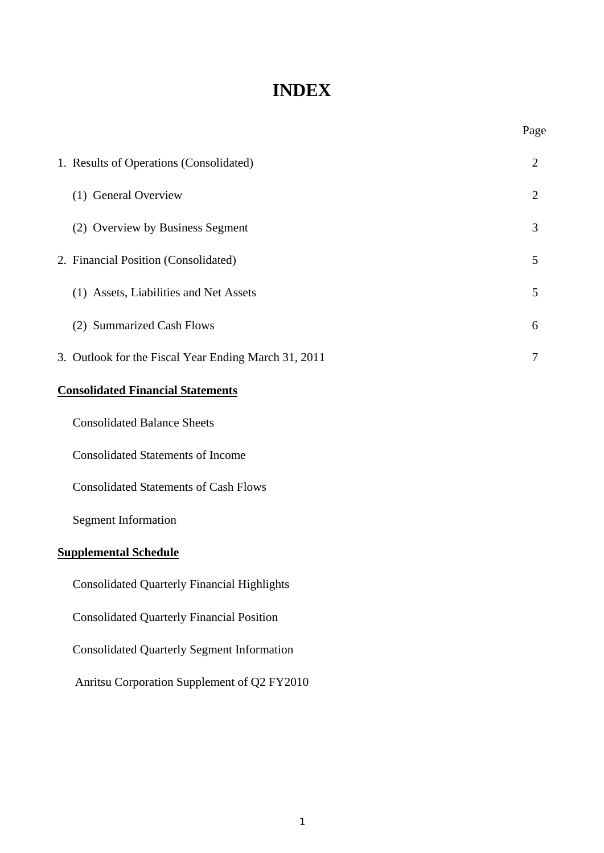## **INDEX**

Page

| 1. Results of Operations (Consolidated)              | $\overline{2}$ |
|------------------------------------------------------|----------------|
| (1) General Overview                                 | $\overline{2}$ |
| (2) Overview by Business Segment                     | 3              |
| 2. Financial Position (Consolidated)                 | 5              |
| (1) Assets, Liabilities and Net Assets               | 5              |
| (2) Summarized Cash Flows                            | 6              |
| 3. Outlook for the Fiscal Year Ending March 31, 2011 | $\tau$         |
| <b>Consolidated Financial Statements</b>             |                |
| <b>Consolidated Balance Sheets</b>                   |                |
| <b>Consolidated Statements of Income</b>             |                |
| <b>Consolidated Statements of Cash Flows</b>         |                |
| <b>Segment Information</b>                           |                |

### **Supplemental Schedule**

Consolidated Quarterly Financial Highlights

Consolidated Quarterly Financial Position

Consolidated Quarterly Segment Information

Anritsu Corporation Supplement of Q2 FY2010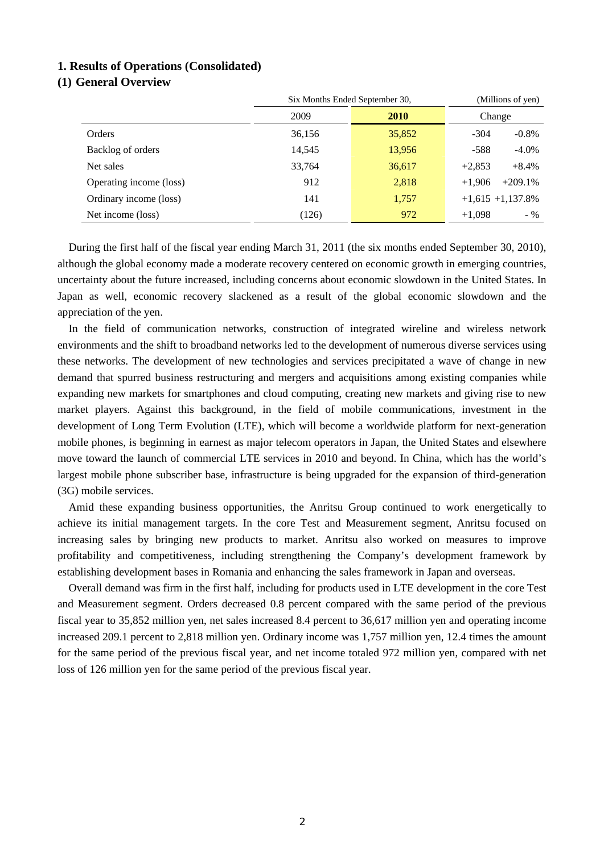### **1. Results of Operations (Consolidated)**

### **(1) General Overview**

|                         | Six Months Ended September 30, | (Millions of yen)<br>Change |                       |  |
|-------------------------|--------------------------------|-----------------------------|-----------------------|--|
|                         | 2009<br>2010                   |                             |                       |  |
| Orders                  | 36,156                         | 35,852                      | $-304$<br>$-0.8%$     |  |
| Backlog of orders       | 14,545                         | 13,956                      | $-588$<br>$-4.0\%$    |  |
| Net sales               | 33,764                         | 36,617                      | $+2,853$<br>$+8.4%$   |  |
| Operating income (loss) | 912                            | 2,818                       | $+209.1%$<br>$+1.906$ |  |
| Ordinary income (loss)  | 141                            | 1,757                       | $+1,615$ $+1,137.8\%$ |  |
| Net income (loss)       | (126)                          | 972                         | $+1.098$<br>$-$ %     |  |

During the first half of the fiscal year ending March 31, 2011 (the six months ended September 30, 2010), although the global economy made a moderate recovery centered on economic growth in emerging countries, uncertainty about the future increased, including concerns about economic slowdown in the United States. In Japan as well, economic recovery slackened as a result of the global economic slowdown and the appreciation of the yen.

In the field of communication networks, construction of integrated wireline and wireless network environments and the shift to broadband networks led to the development of numerous diverse services using these networks. The development of new technologies and services precipitated a wave of change in new demand that spurred business restructuring and mergers and acquisitions among existing companies while expanding new markets for smartphones and cloud computing, creating new markets and giving rise to new market players. Against this background, in the field of mobile communications, investment in the development of Long Term Evolution (LTE), which will become a worldwide platform for next-generation mobile phones, is beginning in earnest as major telecom operators in Japan, the United States and elsewhere move toward the launch of commercial LTE services in 2010 and beyond. In China, which has the world's largest mobile phone subscriber base, infrastructure is being upgraded for the expansion of third-generation (3G) mobile services.

Amid these expanding business opportunities, the Anritsu Group continued to work energetically to achieve its initial management targets. In the core Test and Measurement segment, Anritsu focused on increasing sales by bringing new products to market. Anritsu also worked on measures to improve profitability and competitiveness, including strengthening the Company's development framework by establishing development bases in Romania and enhancing the sales framework in Japan and overseas.

Overall demand was firm in the first half, including for products used in LTE development in the core Test and Measurement segment. Orders decreased 0.8 percent compared with the same period of the previous fiscal year to 35,852 million yen, net sales increased 8.4 percent to 36,617 million yen and operating income increased 209.1 percent to 2,818 million yen. Ordinary income was 1,757 million yen, 12.4 times the amount for the same period of the previous fiscal year, and net income totaled 972 million yen, compared with net loss of 126 million yen for the same period of the previous fiscal year.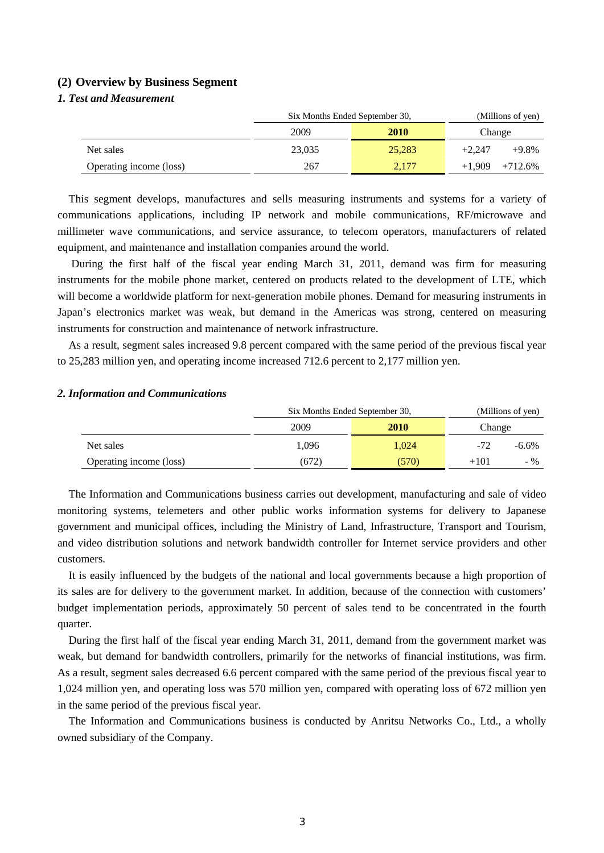#### **(2) Overview by Business Segment**

### *1. Test and Measurement*

|                         | Six Months Ended September 30, | (Millions of yen) |          |           |
|-------------------------|--------------------------------|-------------------|----------|-----------|
|                         | 2009                           | <b>2010</b>       | Change   |           |
| Net sales               | 23,035                         | 25,283            | $+2.247$ | $+9.8%$   |
| Operating income (loss) | 267                            | 2,177             | $+1.909$ | $+712.6%$ |

This segment develops, manufactures and sells measuring instruments and systems for a variety of communications applications, including IP network and mobile communications, RF/microwave and millimeter wave communications, and service assurance, to telecom operators, manufacturers of related equipment, and maintenance and installation companies around the world.

 During the first half of the fiscal year ending March 31, 2011, demand was firm for measuring instruments for the mobile phone market, centered on products related to the development of LTE, which will become a worldwide platform for next-generation mobile phones. Demand for measuring instruments in Japan's electronics market was weak, but demand in the Americas was strong, centered on measuring instruments for construction and maintenance of network infrastructure.

As a result, segment sales increased 9.8 percent compared with the same period of the previous fiscal year to 25,283 million yen, and operating income increased 712.6 percent to 2,177 million yen.

#### *2. Information and Communications*

|                         | Six Months Ended September 30, | (Millions of yen) |        |          |
|-------------------------|--------------------------------|-------------------|--------|----------|
|                         | 2009                           | <b>2010</b>       | Change |          |
| Net sales               | 1,096                          | 1.024             | $-72$  | $-6.6\%$ |
| Operating income (loss) | (672)                          | (570)             | $+101$ | $-$ %    |

The Information and Communications business carries out development, manufacturing and sale of video monitoring systems, telemeters and other public works information systems for delivery to Japanese government and municipal offices, including the Ministry of Land, Infrastructure, Transport and Tourism, and video distribution solutions and network bandwidth controller for Internet service providers and other customers.

It is easily influenced by the budgets of the national and local governments because a high proportion of its sales are for delivery to the government market. In addition, because of the connection with customers' budget implementation periods, approximately 50 percent of sales tend to be concentrated in the fourth quarter.

During the first half of the fiscal year ending March 31, 2011, demand from the government market was weak, but demand for bandwidth controllers, primarily for the networks of financial institutions, was firm. As a result, segment sales decreased 6.6 percent compared with the same period of the previous fiscal year to 1,024 million yen, and operating loss was 570 million yen, compared with operating loss of 672 million yen in the same period of the previous fiscal year.

The Information and Communications business is conducted by Anritsu Networks Co., Ltd., a wholly owned subsidiary of the Company.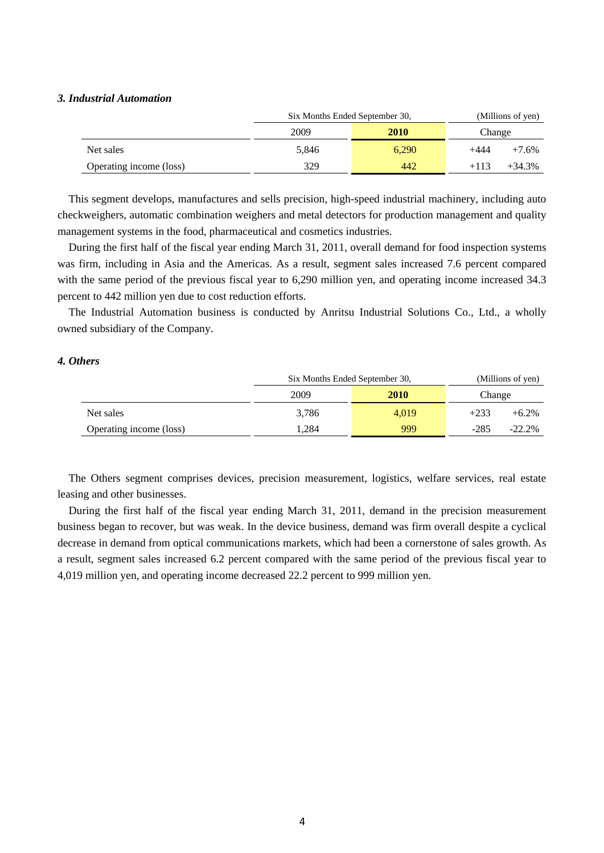### *3. Industrial Automation*

|                         | Six Months Ended September 30, | (Millions of yen) |                    |  |
|-------------------------|--------------------------------|-------------------|--------------------|--|
|                         | 2009                           | <b>2010</b>       | Change             |  |
| Net sales               | 5,846                          | 6.290             | +444<br>$+7.6%$    |  |
| Operating income (loss) | 329                            | 442               | $+34.3%$<br>$+113$ |  |

This segment develops, manufactures and sells precision, high-speed industrial machinery, including auto checkweighers, automatic combination weighers and metal detectors for production management and quality management systems in the food, pharmaceutical and cosmetics industries.

During the first half of the fiscal year ending March 31, 2011, overall demand for food inspection systems was firm, including in Asia and the Americas. As a result, segment sales increased 7.6 percent compared with the same period of the previous fiscal year to 6,290 million yen, and operating income increased 34.3 percent to 442 million yen due to cost reduction efforts.

The Industrial Automation business is conducted by Anritsu Industrial Solutions Co., Ltd., a wholly owned subsidiary of the Company.

### *4. Others*

|                         | Six Months Ended September 30, | (Millions of yen) |        |          |
|-------------------------|--------------------------------|-------------------|--------|----------|
|                         | 2009                           | <b>2010</b>       | Change |          |
| Net sales               | 3,786                          | 4.019             | $+233$ | $+6.2\%$ |
| Operating income (loss) | .284                           | 999               | $-285$ | $-22.2%$ |

The Others segment comprises devices, precision measurement, logistics, welfare services, real estate leasing and other businesses.

During the first half of the fiscal year ending March 31, 2011, demand in the precision measurement business began to recover, but was weak. In the device business, demand was firm overall despite a cyclical decrease in demand from optical communications markets, which had been a cornerstone of sales growth. As a result, segment sales increased 6.2 percent compared with the same period of the previous fiscal year to 4,019 million yen, and operating income decreased 22.2 percent to 999 million yen.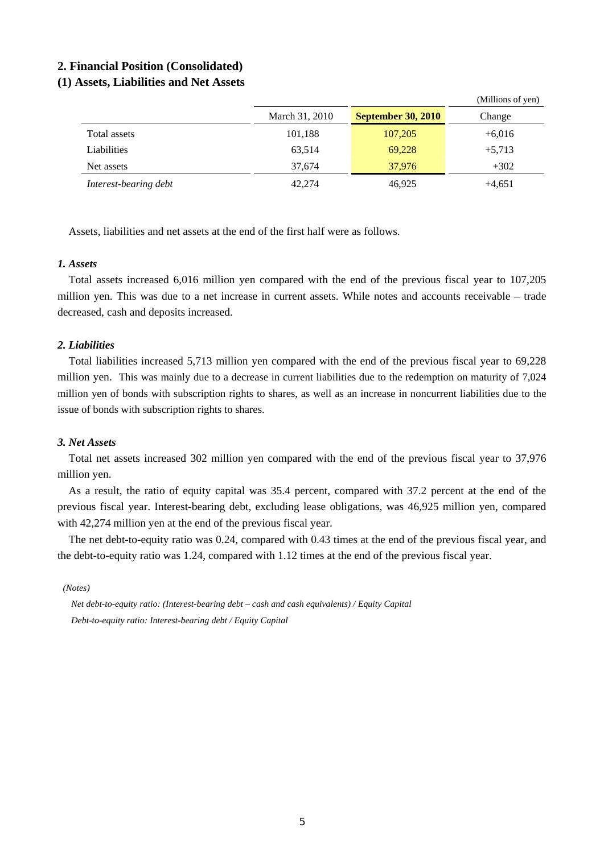### **2. Financial Position (Consolidated)**

### **(1) Assets, Liabilities and Net Assets**

|                       | March 31, 2010 | <b>September 30, 2010</b> | Change   |  |  |
|-----------------------|----------------|---------------------------|----------|--|--|
| Total assets          | 101,188        | 107,205                   | $+6,016$ |  |  |
| Liabilities           | 63,514         | 69,228                    | $+5,713$ |  |  |
| Net assets            | 37.674         | 37,976                    | $+302$   |  |  |
| Interest-bearing debt | 42,274         | 46,925                    | $+4,651$ |  |  |

 $(M)$ llions of  $(9)$ 

Assets, liabilities and net assets at the end of the first half were as follows.

### *1. Assets*

Total assets increased 6,016 million yen compared with the end of the previous fiscal year to 107,205 million yen. This was due to a net increase in current assets. While notes and accounts receivable – trade decreased, cash and deposits increased.

### *2. Liabilities*

Total liabilities increased 5,713 million yen compared with the end of the previous fiscal year to 69,228 million yen. This was mainly due to a decrease in current liabilities due to the redemption on maturity of 7,024 million yen of bonds with subscription rights to shares, as well as an increase in noncurrent liabilities due to the issue of bonds with subscription rights to shares.

### *3. Net Assets*

Total net assets increased 302 million yen compared with the end of the previous fiscal year to 37,976 million yen.

As a result, the ratio of equity capital was 35.4 percent, compared with 37.2 percent at the end of the previous fiscal year. Interest-bearing debt, excluding lease obligations, was 46,925 million yen, compared with 42,274 million yen at the end of the previous fiscal year.

The net debt-to-equity ratio was 0.24, compared with 0.43 times at the end of the previous fiscal year, and the debt-to-equity ratio was 1.24, compared with 1.12 times at the end of the previous fiscal year.

*(Notes)* 

*Net debt-to-equity ratio: (Interest-bearing debt – cash and cash equivalents) / Equity Capital Debt-to-equity ratio: Interest-bearing debt / Equity Capital*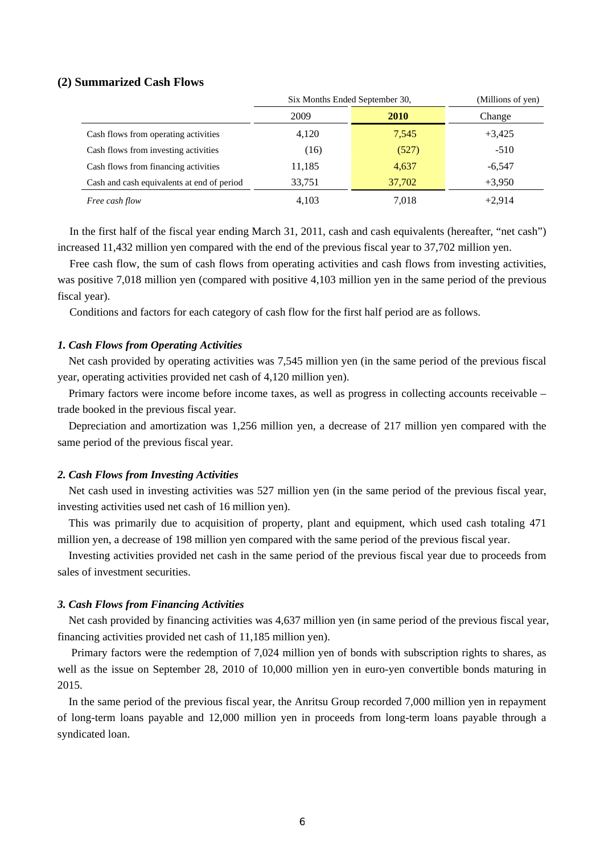### **(2) Summarized Cash Flows**

|                                            | Six Months Ended September 30, |             | (Millions of yen) |  |
|--------------------------------------------|--------------------------------|-------------|-------------------|--|
|                                            | 2009                           | <b>2010</b> | Change            |  |
| Cash flows from operating activities       | 4,120                          | 7,545       | $+3,425$          |  |
| Cash flows from investing activities       | (16)                           | (527)       | $-510$            |  |
| Cash flows from financing activities       | 11,185                         | 4,637       | $-6.547$          |  |
| Cash and cash equivalents at end of period | 33,751                         | 37,702      | $+3,950$          |  |
| Free cash flow                             | 4,103                          | 7,018       | $+2.914$          |  |

In the first half of the fiscal year ending March 31, 2011, cash and cash equivalents (hereafter, "net cash") increased 11,432 million yen compared with the end of the previous fiscal year to 37,702 million yen.

Free cash flow, the sum of cash flows from operating activities and cash flows from investing activities, was positive 7,018 million yen (compared with positive 4,103 million yen in the same period of the previous fiscal year).

Conditions and factors for each category of cash flow for the first half period are as follows.

#### *1. Cash Flows from Operating Activities*

Net cash provided by operating activities was 7,545 million yen (in the same period of the previous fiscal year, operating activities provided net cash of 4,120 million yen).

Primary factors were income before income taxes, as well as progress in collecting accounts receivable – trade booked in the previous fiscal year.

Depreciation and amortization was 1,256 million yen, a decrease of 217 million yen compared with the same period of the previous fiscal year.

### *2. Cash Flows from Investing Activities*

Net cash used in investing activities was 527 million yen (in the same period of the previous fiscal year, investing activities used net cash of 16 million yen).

This was primarily due to acquisition of property, plant and equipment, which used cash totaling 471 million yen, a decrease of 198 million yen compared with the same period of the previous fiscal year.

Investing activities provided net cash in the same period of the previous fiscal year due to proceeds from sales of investment securities.

#### *3. Cash Flows from Financing Activities*

Net cash provided by financing activities was 4,637 million yen (in same period of the previous fiscal year, financing activities provided net cash of 11,185 million yen).

 Primary factors were the redemption of 7,024 million yen of bonds with subscription rights to shares, as well as the issue on September 28, 2010 of 10,000 million yen in euro-yen convertible bonds maturing in 2015.

In the same period of the previous fiscal year, the Anritsu Group recorded 7,000 million yen in repayment of long-term loans payable and 12,000 million yen in proceeds from long-term loans payable through a syndicated loan.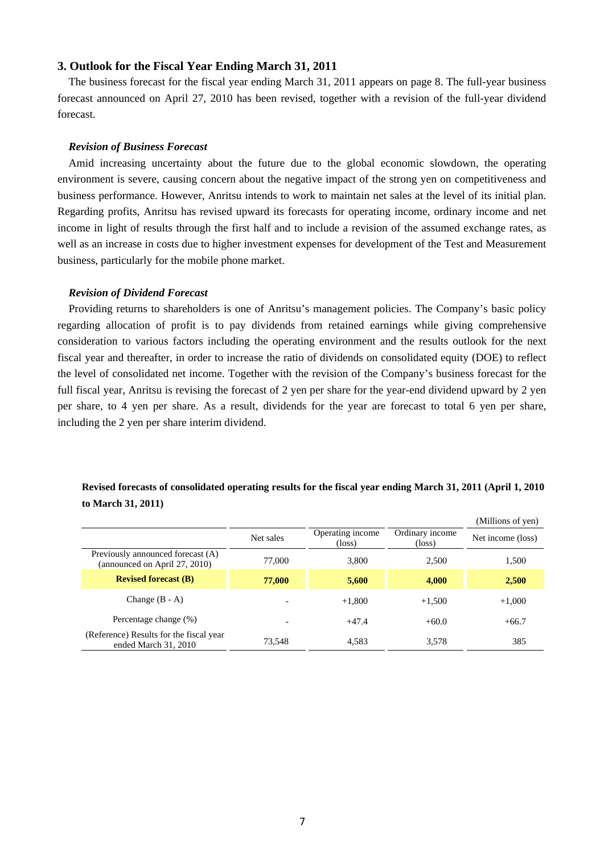### **3. Outlook for the Fiscal Year Ending March 31, 2011**

The business forecast for the fiscal year ending March 31, 2011 appears on page 8. The full-year business forecast announced on April 27, 2010 has been revised, together with a revision of the full-year dividend forecast.

#### *Revision of Business Forecast*

Amid increasing uncertainty about the future due to the global economic slowdown, the operating environment is severe, causing concern about the negative impact of the strong yen on competitiveness and business performance. However, Anritsu intends to work to maintain net sales at the level of its initial plan. Regarding profits, Anritsu has revised upward its forecasts for operating income, ordinary income and net income in light of results through the first half and to include a revision of the assumed exchange rates, as well as an increase in costs due to higher investment expenses for development of the Test and Measurement business, particularly for the mobile phone market.

#### *Revision of Dividend Forecast*

Providing returns to shareholders is one of Anritsu's management policies. The Company's basic policy regarding allocation of profit is to pay dividends from retained earnings while giving comprehensive consideration to various factors including the operating environment and the results outlook for the next fiscal year and thereafter, in order to increase the ratio of dividends on consolidated equity (DOE) to reflect the level of consolidated net income. Together with the revision of the Company's business forecast for the full fiscal year, Anritsu is revising the forecast of 2 yen per share for the year-end dividend upward by 2 yen per share, to 4 yen per share. As a result, dividends for the year are forecast to total 6 yen per share, including the 2 yen per share interim dividend.

### **Revised forecasts of consolidated operating results for the fiscal year ending March 31, 2011 (April 1, 2010 to March 31, 2011)**

|                                                                    |           |                                     |                                    | (Millions of yen) |
|--------------------------------------------------------------------|-----------|-------------------------------------|------------------------------------|-------------------|
|                                                                    | Net sales | Operating income<br>$(\text{loss})$ | Ordinary income<br>$(\text{loss})$ | Net income (loss) |
| Previously announced forecast (A)<br>(announced on April 27, 2010) | 77,000    | 3,800                               | 2,500                              | 1,500             |
| <b>Revised forecast (B)</b>                                        | 77,000    | 5,600                               | 4,000                              | 2,500             |
| Change $(B - A)$                                                   |           | $+1,800$                            | $+1,500$                           | $+1,000$          |
| Percentage change (%)                                              |           | $+47.4$                             | $+60.0$                            | $+66.7$           |
| (Reference) Results for the fiscal year<br>ended March 31, 2010    | 73,548    | 4,583                               | 3,578                              | 385               |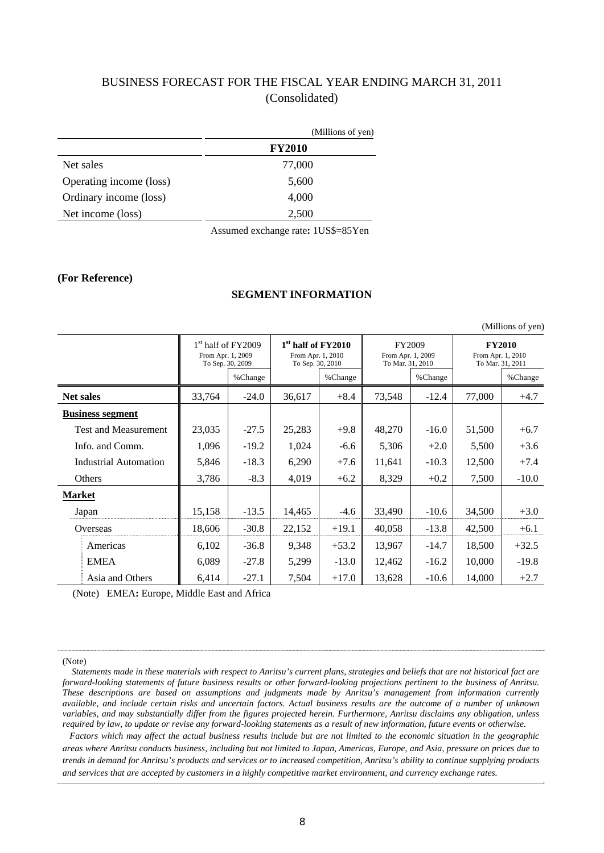### BUSINESS FORECAST FOR THE FISCAL YEAR ENDING MARCH 31, 2011 (Consolidated)

|                         | (Millions of yen) |
|-------------------------|-------------------|
|                         | <b>FY2010</b>     |
| Net sales               | 77,000            |
| Operating income (loss) | 5,600             |
| Ordinary income (loss)  | 4,000             |
| Net income (loss)       | 2,500             |
|                         |                   |

Assumed exchange rate**:** 1US\$=85Yen

#### **(For Reference)**

### **SEGMENT INFORMATION**

|                  | $(1$ VIIIIIUIII $\sigma$ UI $\gamma$ UII |                                                               |         |                                                                         |         |                                                        |         |                                                        |         |  |
|------------------|------------------------------------------|---------------------------------------------------------------|---------|-------------------------------------------------------------------------|---------|--------------------------------------------------------|---------|--------------------------------------------------------|---------|--|
|                  |                                          | $1st$ half of FY2009<br>From Apr. 1, 2009<br>To Sep. 30, 2009 |         | 1 <sup>st</sup> half of FY2010<br>From Apr. 1, 2010<br>To Sep. 30, 2010 |         | <b>FY2009</b><br>From Apr. 1, 2009<br>To Mar. 31, 2010 |         | <b>FY2010</b><br>From Apr. 1, 2010<br>To Mar. 31, 2011 |         |  |
|                  |                                          |                                                               | %Change |                                                                         | %Change |                                                        | %Change |                                                        | %Change |  |
| <b>Net sales</b> |                                          | 33,764                                                        | $-24.0$ | 36,617                                                                  | $+8.4$  | 73,548                                                 | $-12.4$ | 77,000                                                 | $+4.7$  |  |
|                  | <b>Business segment</b>                  |                                                               |         |                                                                         |         |                                                        |         |                                                        |         |  |
|                  | <b>Test and Measurement</b>              | 23,035                                                        | $-27.5$ | 25,283                                                                  | $+9.8$  | 48,270                                                 | $-16.0$ | 51,500                                                 | $+6.7$  |  |
|                  | Info. and Comm.                          | 1,096                                                         | $-19.2$ | 1,024                                                                   | $-6.6$  | 5,306                                                  | $+2.0$  | 5,500                                                  | $+3.6$  |  |
|                  | <b>Industrial Automation</b>             | 5,846                                                         | $-18.3$ | 6,290                                                                   | $+7.6$  | 11,641                                                 | $-10.3$ | 12,500                                                 | $+7.4$  |  |
|                  | Others                                   | 3,786                                                         | $-8.3$  | 4,019                                                                   | $+6.2$  | 8,329                                                  | $+0.2$  | 7,500                                                  | $-10.0$ |  |
| <b>Market</b>    |                                          |                                                               |         |                                                                         |         |                                                        |         |                                                        |         |  |
|                  | Japan                                    | 15,158                                                        | $-13.5$ | 14,465                                                                  | $-4.6$  | 33,490                                                 | $-10.6$ | 34,500                                                 | $+3.0$  |  |
|                  | Overseas                                 | 18,606                                                        | $-30.8$ | 22,152                                                                  | $+19.1$ | 40,058                                                 | $-13.8$ | 42,500                                                 | $+6.1$  |  |
|                  | Americas                                 | 6,102                                                         | $-36.8$ | 9,348                                                                   | $+53.2$ | 13,967                                                 | $-14.7$ | 18,500                                                 | $+32.5$ |  |
|                  | <b>EMEA</b>                              | 6,089                                                         | $-27.8$ | 5,299                                                                   | $-13.0$ | 12,462                                                 | $-16.2$ | 10,000                                                 | $-19.8$ |  |
|                  | Asia and Others                          | 6,414                                                         | $-27.1$ | 7,504                                                                   | $+17.0$ | 13,628                                                 | $-10.6$ | 14,000                                                 | $+2.7$  |  |

(Note) EMEA**:** Europe, Middle East and Africa

(Note)

 *Statements made in these materials with respect to Anritsu's current plans, strategies and beliefs that are not historical fact are forward-looking statements of future business results or other forward-looking projections pertinent to the business of Anritsu. These descriptions are based on assumptions and judgments made by Anritsu's management from information currently available, and include certain risks and uncertain factors. Actual business results are the outcome of a number of unknown variables, and may substantially differ from the figures projected herein. Furthermore, Anritsu disclaims any obligation, unless required by law, to update or revise any forward-looking statements as a result of new information, future events or otherwise.*

*Factors which may affect the actual business results include but are not limited to the economic situation in the geographic areas where Anritsu conducts business, including but not limited to Japan, Americas, Europe, and Asia, pressure on prices due to trends in demand for Anritsu's products and services or to increased competition, Anritsu's ability to continue supplying products and services that are accepted by customers in a highly competitive market environment, and currency exchange rates.*

(Millions of yen)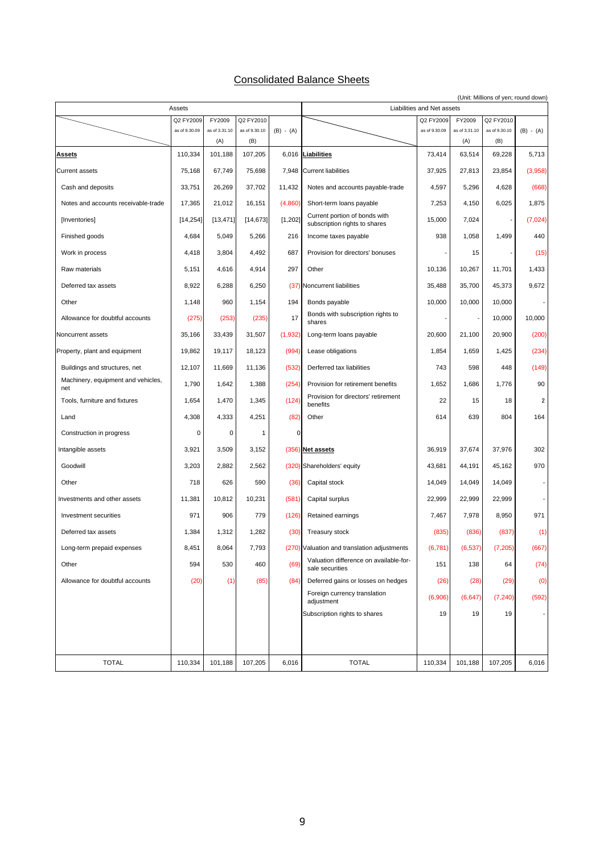### Consolidated Balance Sheets

|                                           |                            |                         |                            |             | (Unit: Millions of yen; round down)                            |                            |                         |                            |                         |
|-------------------------------------------|----------------------------|-------------------------|----------------------------|-------------|----------------------------------------------------------------|----------------------------|-------------------------|----------------------------|-------------------------|
|                                           | Assets                     |                         |                            |             | Liabilities and Net assets                                     |                            |                         |                            |                         |
|                                           | Q2 FY2009<br>as of 9.30.09 | FY2009<br>as of 3.31.10 | Q2 FY2010<br>as of 9.30.10 | $(B) - (A)$ |                                                                | Q2 FY2009<br>as of 9.30.09 | FY2009<br>as of 3.31.10 | Q2 FY2010<br>as of 9.30.10 | $(B) - (A)$             |
|                                           |                            | (A)                     | (B)                        |             |                                                                |                            | (A)                     | (B)                        |                         |
| <b>Assets</b>                             | 110,334                    | 101,188                 | 107,205                    |             | 6,016 Liabilities                                              | 73,414                     | 63,514                  | 69,228                     | 5,713                   |
| <b>Current assets</b>                     | 75,168                     | 67,749                  | 75,698                     | 7,948       | <b>Current liabilities</b>                                     | 37,925                     | 27,813                  | 23,854                     | (3,958)                 |
| Cash and deposits                         | 33,751                     | 26,269                  | 37,702                     | 11,432      | Notes and accounts payable-trade                               | 4,597                      | 5,296                   | 4,628                      | (668)                   |
| Notes and accounts receivable-trade       | 17,365                     | 21,012                  | 16,151                     | (4,860)     | Short-term loans payable                                       | 7,253                      | 4,150                   | 6,025                      | 1,875                   |
| [Inventories]                             | [14, 254]                  | [13, 471]               | [14, 673]                  | [1, 202]    | Current portion of bonds with<br>subscription rights to shares | 15,000                     | 7,024                   |                            | (7,024)                 |
| Finished goods                            | 4,684                      | 5,049                   | 5,266                      | 216         | Income taxes payable                                           | 938                        | 1,058                   | 1,499                      | 440                     |
| Work in process                           | 4,418                      | 3,804                   | 4,492                      | 687         | Provision for directors' bonuses                               |                            | 15                      |                            | (15)                    |
| Raw materials                             | 5,151                      | 4,616                   | 4,914                      | 297         | Other                                                          | 10,136                     | 10,267                  | 11,701                     | 1,433                   |
| Deferred tax assets                       | 8,922                      | 6,288                   | 6,250                      |             | (37) Noncurrent liabilities                                    | 35,488                     | 35,700                  | 45,373                     | 9,672                   |
| Other                                     | 1,148                      | 960                     | 1,154                      | 194         | Bonds payable                                                  | 10,000                     | 10,000                  | 10,000                     |                         |
| Allowance for doubtful accounts           | (275)                      | (253)                   | (235)                      | 17          | Bonds with subscription rights to<br>shares                    |                            |                         | 10,000                     | 10,000                  |
| Noncurrent assets                         | 35,166                     | 33,439                  | 31,507                     | (1,932)     | Long-term loans payable                                        | 20,600                     | 21,100                  | 20,900                     | (200)                   |
| Property, plant and equipment             | 19,862                     | 19,117                  | 18,123                     | (994)       | Lease obligations                                              | 1,854                      | 1,659                   | 1,425                      | (234)                   |
| Buildings and structures, net             | 12,107                     | 11,669                  | 11,136                     | (532)       | Derferred tax liabilities                                      | 743                        | 598                     | 448                        | (149)                   |
| Machinery, equipment and vehicles,<br>net | 1,790                      | 1,642                   | 1,388                      | (254)       | Provision for retirement benefits                              | 1,652                      | 1,686                   | 1,776                      | 90                      |
| Tools, furniture and fixtures             | 1,654                      | 1,470                   | 1,345                      | (124)       | Provision for directors' retirement<br>benefits                | 22                         | 15                      | 18                         | $\overline{\mathbf{2}}$ |
| Land                                      | 4,308                      | 4,333                   | 4,251                      | (82)        | Other                                                          | 614                        | 639                     | 804                        | 164                     |
| Construction in progress                  | 0                          | 0                       | 1                          | $\mathbf 0$ |                                                                |                            |                         |                            |                         |
| Intangible assets                         | 3,921                      | 3,509                   | 3,152                      |             | (356) Net assets                                               | 36,919                     | 37,674                  | 37,976                     | 302                     |
| Goodwill                                  | 3,203                      | 2,882                   | 2,562                      |             | (320) Shareholders' equity                                     | 43,681                     | 44,191                  | 45,162                     | 970                     |
| Other                                     | 718                        | 626                     | 590                        | (36)        | Capital stock                                                  | 14,049                     | 14,049                  | 14,049                     |                         |
| Investments and other assets              | 11,381                     | 10,812                  | 10,231                     | (581)       | Capital surplus                                                | 22,999                     | 22,999                  | 22,999                     |                         |
| Investment securities                     | 971                        | 906                     | 779                        | (126)       | Retained earnings                                              | 7,467                      | 7,978                   | 8,950                      | 971                     |
| Deferred tax assets                       | 1,384                      | 1,312                   | 1,282                      | (30)        | <b>Treasury stock</b>                                          | (835)                      | (836)                   | (837)                      | (1)                     |
| Long-term prepaid expenses                | 8,451                      | 8,064                   | 7,793                      |             | (270) Valuation and translation adjustments                    | (6,781)                    | (6, 537)                | (7, 205)                   | (667)                   |
| Other                                     | 594                        | 530                     | 460                        | (69)        | Valuation difference on available-for-<br>sale securities      | 151                        | 138                     | 64                         | (74)                    |
| Allowance for doubtful accounts           | (20)                       | (1)                     | (85)                       | (84)        | Deferred gains or losses on hedges                             | (26)                       | (28)                    | (29)                       | (0)                     |
|                                           |                            |                         |                            |             | Foreign currency translation<br>adjustment                     | (6,906)                    | (6, 647)                | (7, 240)                   | (592)                   |
|                                           |                            |                         |                            |             | Subscription rights to shares                                  | 19                         | 19                      | 19                         |                         |
|                                           |                            |                         |                            |             |                                                                |                            |                         |                            |                         |
|                                           |                            |                         |                            |             |                                                                |                            |                         |                            |                         |
| <b>TOTAL</b>                              | 110,334                    | 101,188                 | 107,205                    | 6,016       | <b>TOTAL</b>                                                   | 110,334                    | 101,188                 | 107,205                    | 6,016                   |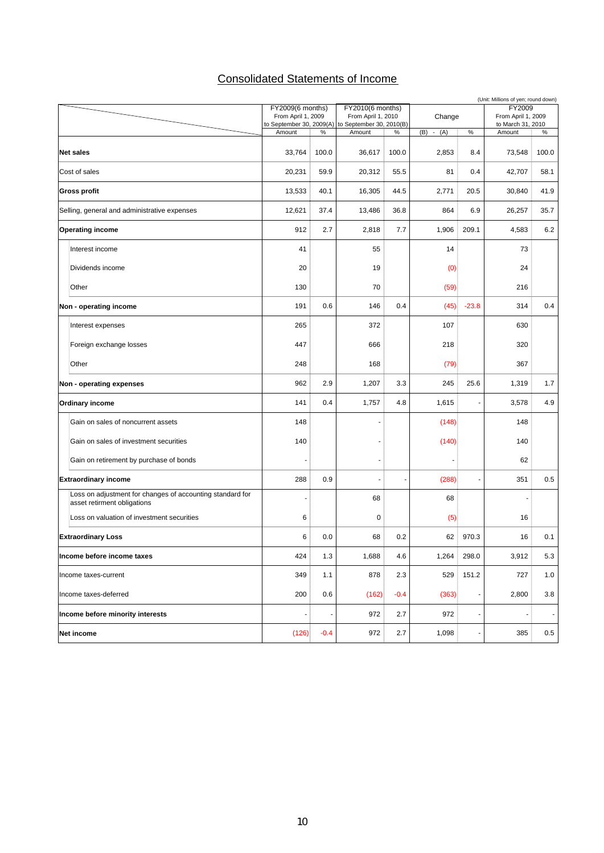### Consolidated Statements of Income

| (Unit: Millions of yen; round down)                                                      |                                                |        |                                                |        |               |                          |                                         |                          |  |
|------------------------------------------------------------------------------------------|------------------------------------------------|--------|------------------------------------------------|--------|---------------|--------------------------|-----------------------------------------|--------------------------|--|
|                                                                                          | FY2009(6 months)                               |        | FY2010(6 months)                               |        |               |                          | FY2009                                  |                          |  |
|                                                                                          | From April 1, 2009<br>to September 30, 2009(A) |        | From April 1, 2010<br>to September 30, 2010(B) |        | Change        |                          | From April 1, 2009<br>to March 31, 2010 |                          |  |
|                                                                                          | Amount                                         | $\%$   | Amount                                         | %      | $-(A)$<br>(B) | $\%$                     | Amount                                  | $\%$                     |  |
|                                                                                          |                                                |        |                                                |        |               |                          |                                         |                          |  |
| <b>Net sales</b>                                                                         | 33,764                                         | 100.0  | 36,617                                         | 100.0  | 2,853         | 8.4                      | 73,548                                  | 100.0                    |  |
| Cost of sales                                                                            | 20,231                                         | 59.9   | 20,312                                         | 55.5   | 81            | 0.4                      | 42,707                                  | 58.1                     |  |
| <b>Gross profit</b>                                                                      | 13,533                                         | 40.1   | 16,305                                         | 44.5   | 2,771         | 20.5                     | 30,840                                  | 41.9                     |  |
| Selling, general and administrative expenses                                             | 12,621                                         | 37.4   | 13,486                                         | 36.8   | 864           | 6.9                      | 26,257                                  | 35.7                     |  |
| <b>Operating income</b>                                                                  | 912                                            | 2.7    | 2,818                                          | 7.7    | 1,906         | 209.1                    | 4,583                                   | 6.2                      |  |
| Interest income                                                                          | 41                                             |        | 55                                             |        | 14            |                          | 73                                      |                          |  |
| Dividends income                                                                         | 20                                             |        | 19                                             |        | (0)           |                          | 24                                      |                          |  |
| Other                                                                                    | 130                                            |        | 70                                             |        | (59)          |                          | 216                                     |                          |  |
| Non - operating income                                                                   | 191                                            | 0.6    | 146                                            | 0.4    | (45)          | $-23.8$                  | 314                                     | 0.4                      |  |
| Interest expenses                                                                        | 265                                            |        | 372                                            |        | 107           |                          | 630                                     |                          |  |
| Foreign exchange losses                                                                  | 447                                            |        | 666                                            |        | 218           |                          | 320                                     |                          |  |
| Other                                                                                    | 248                                            |        | 168                                            |        | (79)          |                          | 367                                     |                          |  |
| Non - operating expenses                                                                 | 962                                            | 2.9    | 1,207                                          | 3.3    | 245           | 25.6                     | 1,319                                   | 1.7                      |  |
| <b>Ordinary income</b>                                                                   | 141                                            | 0.4    | 1,757                                          | 4.8    | 1,615         |                          | 3,578                                   | 4.9                      |  |
| Gain on sales of noncurrent assets                                                       | 148                                            |        |                                                |        | (148)         |                          | 148                                     |                          |  |
| Gain on sales of investment securities                                                   | 140                                            |        |                                                |        | (140)         |                          | 140                                     |                          |  |
| Gain on retirement by purchase of bonds                                                  |                                                |        |                                                |        |               |                          | 62                                      |                          |  |
| <b>Extraordinary income</b>                                                              | 288                                            | 0.9    |                                                |        | (288)         |                          | 351                                     | 0.5                      |  |
| Loss on adjustment for changes of accounting standard for<br>asset retirment obligations |                                                |        | 68                                             |        | 68            |                          |                                         |                          |  |
| Loss on valuation of investment securities                                               | 6                                              |        | 0                                              |        | (5)           |                          | 16                                      |                          |  |
| <b>Extraordinary Loss</b>                                                                | 6                                              | 0.0    | 68                                             | 0.2    | 62            | 970.3                    | 16                                      | 0.1                      |  |
| Income before income taxes                                                               | 424                                            | $1.3$  | 1,688                                          | 4.6    | 1,264         | 298.0                    | 3,912                                   | 5.3                      |  |
| Income taxes-current                                                                     | 349                                            | 1.1    | 878                                            | 2.3    | 529           | 151.2                    | 727                                     | 1.0                      |  |
| Income taxes-deferred                                                                    | 200                                            | 0.6    | (162)                                          | $-0.4$ | (363)         | $\overline{\phantom{a}}$ | 2,800                                   | 3.8                      |  |
| Income before minority interests                                                         |                                                |        | 972                                            | 2.7    | 972           |                          | $\ddot{\phantom{1}}$                    | $\overline{\phantom{a}}$ |  |
| Net income                                                                               | (126)                                          | $-0.4$ | 972                                            | 2.7    | 1,098         |                          | 385                                     | 0.5                      |  |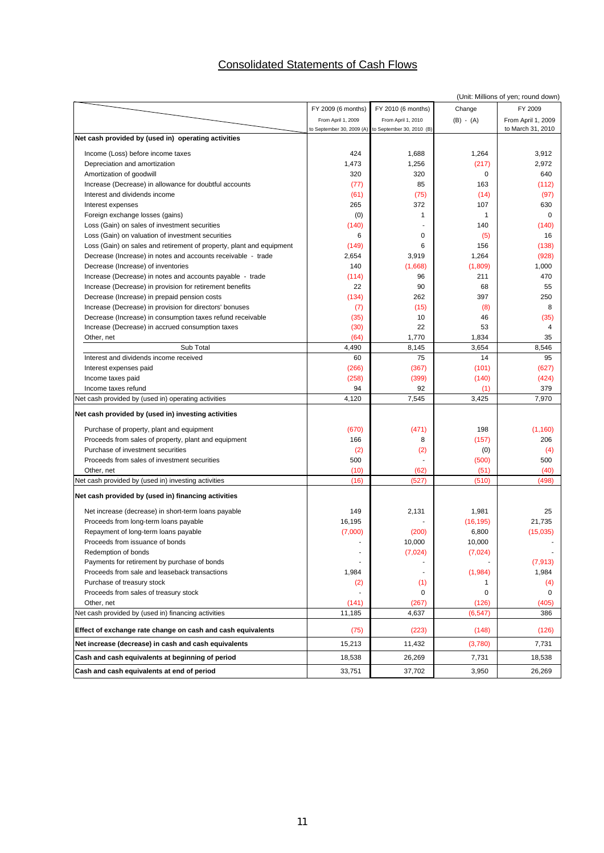### Consolidated Statements of Cash Flows

|                                                                      |                           |                           |             | (Unit: Millions of yen; round down) |
|----------------------------------------------------------------------|---------------------------|---------------------------|-------------|-------------------------------------|
|                                                                      | FY 2009 (6 months)        | FY 2010 (6 months)        | Change      | FY 2009                             |
|                                                                      | From April 1, 2009        | From April 1, 2010        | $(B) - (A)$ | From April 1, 2009                  |
|                                                                      | to September 30, 2009 (A) | to September 30, 2010 (B) |             | to March 31, 2010                   |
| Net cash provided by (used in) operating activities                  |                           |                           |             |                                     |
| Income (Loss) before income taxes                                    | 424                       | 1,688                     | 1,264       | 3,912                               |
| Depreciation and amortization                                        | 1,473                     | 1,256                     | (217)       | 2,972                               |
| Amortization of goodwill                                             | 320                       | 320                       | $\mathbf 0$ | 640                                 |
| Increase (Decrease) in allowance for doubtful accounts               | (77)                      | 85                        | 163         | (112)                               |
| Interest and dividends income                                        | (61)                      | (75)                      | (14)        | (97)                                |
| Interest expenses                                                    | 265                       | 372                       | 107         | 630                                 |
| Foreign exchange losses (gains)                                      | (0)                       | $\mathbf{1}$              | 1           | $\Omega$                            |
| Loss (Gain) on sales of investment securities                        | (140)                     |                           | 140         | (140)                               |
| Loss (Gain) on valuation of investment securities                    | 6                         | 0                         | (5)         | 16                                  |
| Loss (Gain) on sales and retirement of property, plant and equipment | (149)                     | 6                         | 156         | (138)                               |
| Decrease (Increase) in notes and accounts receivable - trade         | 2,654                     | 3,919                     | 1,264       | (928)                               |
| Decrease (Increase) of inventories                                   | 140                       | (1,668)                   | (1,809)     | 1,000                               |
| Increase (Decrease) in notes and accounts payable - trade            | (114)                     | 96                        | 211         | 470                                 |
| Increase (Decrease) in provision for retirement benefits             | 22                        | 90                        | 68          | 55                                  |
| Decrease (Increase) in prepaid pension costs                         | (134)                     | 262                       | 397         | 250                                 |
| Increase (Decrease) in provision for directors' bonuses              | (7)                       | (15)                      | (8)         | 8                                   |
| Decrease (Increase) in consumption taxes refund receivable           | (35)                      | 10                        | 46          | (35)                                |
| Increase (Decrease) in accrued consumption taxes                     | (30)                      | 22                        | 53          | 4                                   |
| Other, net                                                           | (64)                      | 1,770                     | 1,834       | 35                                  |
| Sub Total                                                            | 4,490                     | 8,145                     | 3,654       | 8,546                               |
| Interest and dividends income received                               | 60                        | 75                        | 14          | 95                                  |
| Interest expenses paid                                               | (266)                     | (367)                     | (101)       | (627)                               |
| Income taxes paid                                                    | (258)                     | (399)                     | (140)       | (424)                               |
| Income taxes refund                                                  | 94                        | 92                        | (1)         | 379                                 |
| Net cash provided by (used in) operating activities                  | 4,120                     | 7,545                     | 3,425       | 7,970                               |
| Net cash provided by (used in) investing activities                  |                           |                           |             |                                     |
| Purchase of property, plant and equipment                            | (670)                     | (471)                     | 198         | (1, 160)                            |
| Proceeds from sales of property, plant and equipment                 | 166                       | 8                         | (157)       | 206                                 |
| Purchase of investment securities                                    | (2)                       | (2)                       | (0)         | (4)                                 |
| Proceeds from sales of investment securities                         | 500                       |                           | (500)       | 500                                 |
| Other, net                                                           | (10)                      | (62)                      | (51)        | (40)                                |
| Net cash provided by (used in) investing activities                  | (16)                      | (527)                     | (510)       | (498)                               |
| Net cash provided by (used in) financing activities                  |                           |                           |             |                                     |
| Net increase (decrease) in short-term loans payable                  | 149                       | 2,131                     | 1,981       | 25                                  |
| Proceeds from long-term loans payable                                | 16,195                    |                           | (16, 195)   | 21,735                              |
| Repayment of long-term loans payable                                 | (7,000)                   | (200)                     | 6,800       | (15,035)                            |
| Proceeds from issuance of bonds                                      |                           | 10,000                    | 10.000      |                                     |
| Redemption of bonds                                                  |                           | (7,024)                   | (7,024)     |                                     |
| Payments for retirement by purchase of bonds                         |                           |                           |             | (7, 913)                            |
| Proceeds from sale and leaseback transactions                        | 1,984                     |                           | (1,984)     | 1,984                               |
| Purchase of treasury stock                                           | (2)                       | (1)                       | 1           | (4)                                 |
| Proceeds from sales of treasury stock                                |                           | 0                         | 0           | 0                                   |
| Other, net                                                           | (141)                     | (267)                     | (126)       | (405)                               |
| Net cash provided by (used in) financing activities                  | 11,185                    | 4,637                     | (6, 547)    | 386                                 |
| Effect of exchange rate change on cash and cash equivalents          | (75)                      | (223)                     | (148)       | (126)                               |
| Net increase (decrease) in cash and cash equivalents                 | 15,213                    | 11,432                    | (3,780)     | 7,731                               |
| Cash and cash equivalents at beginning of period                     | 18,538                    | 26,269                    | 7,731       | 18,538                              |
| Cash and cash equivalents at end of period                           | 33,751                    | 37,702                    | 3,950       | 26,269                              |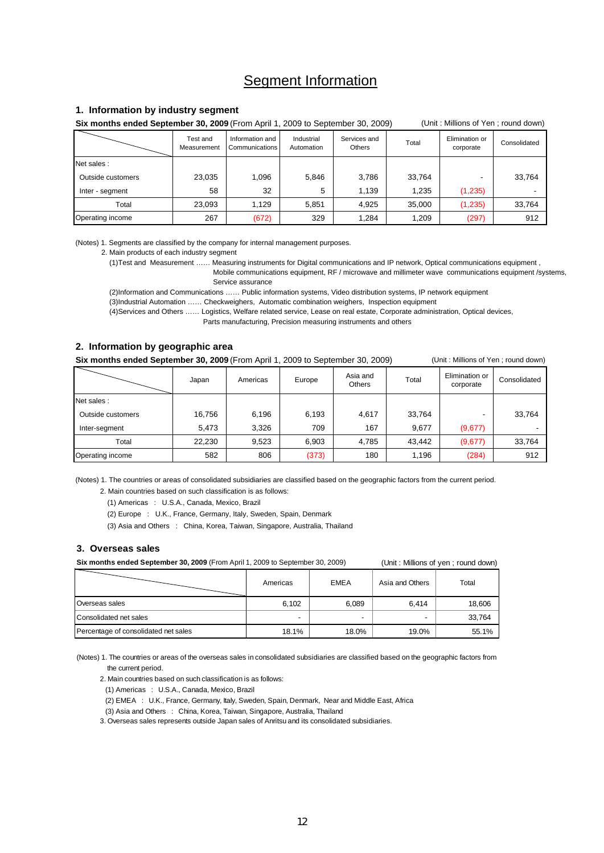### Segment Information

#### **1. Information by industry segment**

**Six months ended September 30, 2009** (From April 1, 2009 to September 30, 2009) (Unit : Millions of Yen ; round down)

|                   | Test and<br>Measurement | Information and<br>Communications | Industrial<br>Automation | Services and<br>Others | Total  | Elimination or<br>corporate | Consolidated |
|-------------------|-------------------------|-----------------------------------|--------------------------|------------------------|--------|-----------------------------|--------------|
| Net sales :       |                         |                                   |                          |                        |        |                             |              |
| Outside customers | 23,035                  | .096                              | 5,846                    | 3.786                  | 33.764 |                             | 33,764       |
| Inter - segment   | 58                      | 32                                | 5                        | 1.139                  | 1,235  | (1,235)                     |              |
| Total             | 23,093                  | 129،                              | 5,851                    | 4,925                  | 35.000 | (1, 235)                    | 33,764       |
| Operating income  | 267                     | (672)                             | 329                      | 1,284                  | 1,209  | (297)                       | 912          |

(Notes) 1. Segments are classified by the company for internal management purposes.

2. Main products of each industry segment

(1)Test and Measurement …… Measuring instruments for Digital communications and IP network, Optical communications equipment ,

 Mobile communications equipment, RF / microwave and millimeter wave communications equipment /systems, Service assurance

(2)Information and Communications …… Public information systems, Video distribution systems, IP network equipment

(3)Industrial Automation …… Checkweighers, Automatic combination weighers, Inspection equipment

 (4)Services and Others …… Logistics, Welfare related service, Lease on real estate, Corporate administration, Optical devices, Parts manufacturing, Precision measuring instruments and others

#### **2. Information by geographic area**

**Six months ended September 30, 2009** (From April 1, 2009 to September 30, 2009) (Unit: Millions of Yen ; round down)

|                   | Japan  | Americas | Europe | Asia and<br><b>Others</b> | Total  | Elimination or<br>corporate | Consolidated |
|-------------------|--------|----------|--------|---------------------------|--------|-----------------------------|--------------|
| Net sales :       |        |          |        |                           |        |                             |              |
| Outside customers | 16,756 | 6,196    | 6,193  | 4,617                     | 33,764 |                             | 33,764       |
| Inter-segment     | 5,473  | 3,326    | 709    | 167                       | 9.677  | (9,677)                     |              |
| Total             | 22,230 | 9,523    | 6,903  | 4,785                     | 43.442 | (9,677)                     | 33,764       |
| Operating income  | 582    | 806      | (373)  | 180                       | 1,196  | (284)                       | 912          |

(Notes) 1. The countries or areas of consolidated subsidiaries are classified based on the geographic factors from the current period.

2. Main countries based on such classification is as follows:

(1) Americas : U.S.A., Canada, Mexico, Brazil

(2) Europe : U.K., France, Germany, Italy, Sweden, Spain, Denmark

(3) Asia and Others : China, Korea, Taiwan, Singapore, Australia, Thailand

#### **3. Overseas sales**

**Six months ended September 30, 2009** (From April 1, 2009 to September 30, 2009) (Unit : Millions of yen ; round down)

|                                      | Americas | <b>EMEA</b>              | Asia and Others | Total  |
|--------------------------------------|----------|--------------------------|-----------------|--------|
| Overseas sales                       | 6,102    | 6,089                    | 6.414           | 18,606 |
| Consolidated net sales               | -        | $\overline{\phantom{0}}$ | -               | 33.764 |
| Percentage of consolidated net sales | 18.1%    | 18.0%                    | 19.0%           | 55.1%  |

(Notes) 1. The countries or areas of the overseas sales in consolidated subsidiaries are classified based on the geographic factors from the current period.

2. Main countries based on such classification is as follows:

(1) Americas : U.S.A., Canada, Mexico, Brazil

(2) EMEA : U.K., France, Germany, Italy, Sweden, Spain, Denmark, Near and Middle East, Africa

(3) Asia and Others : China, Korea, Taiwan, Singapore, Australia, Thailand

3. Overseas sales represents outside Japan sales of Anritsu and its consolidated subsidiaries.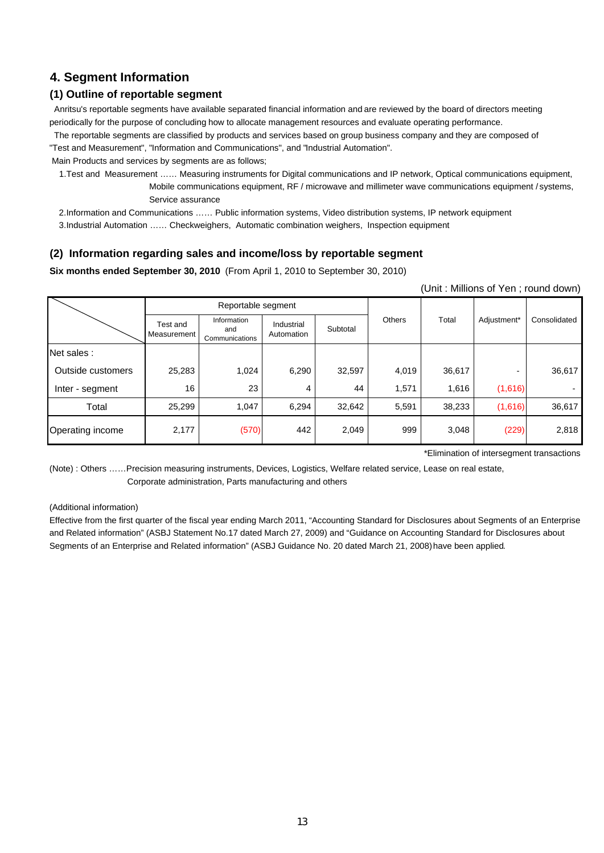### **4. Segment Information**

### **(1) Outline of reportable segment**

 Anritsu's reportable segments have available separated financial information and are reviewed by the board of directors meeting periodically for the purpose of concluding how to allocate management resources and evaluate operating performance.

 The reportable segments are classified by products and services based on group business company and they are composed of "Test and Measurement", "Information and Communications", and "Industrial Automation".

Main Products and services by segments are as follows;

 1.Test and Measurement …… Measuring instruments for Digital communications and IP network, Optical communications equipment, Mobile communications equipment, RF / microwave and millimeter wave communications equipment / systems, Service assurance

2.Information and Communications …… Public information systems, Video distribution systems, IP network equipment

3.Industrial Automation …… Checkweighers, Automatic combination weighers, Inspection equipment

### **(2) Information regarding sales and income/loss by reportable segment**

**Six months ended September 30, 2010** (From April 1, 2010 to September 30, 2010)

(Unit : Millions of Yen ; round down)

|                   |                         | Reportable segment                   |                          |          |               |        |             |              |
|-------------------|-------------------------|--------------------------------------|--------------------------|----------|---------------|--------|-------------|--------------|
|                   | Test and<br>Measurement | Information<br>and<br>Communications | Industrial<br>Automation | Subtotal | <b>Others</b> | Total  | Adjustment* | Consolidated |
| Net sales :       |                         |                                      |                          |          |               |        |             |              |
| Outside customers | 25,283                  | 1,024                                | 6,290                    | 32,597   | 4,019         | 36,617 |             | 36,617       |
| Inter - segment   | 16                      | 23                                   | 4                        | 44       | 1,571         | 1,616  | (1,616)     |              |
| Total             | 25,299                  | 1,047                                | 6,294                    | 32,642   | 5,591         | 38,233 | (1,616)     | 36,617       |
| Operating income  | 2,177                   | (570)                                | 442                      | 2,049    | 999           | 3,048  | (229)       | 2,818        |

\*Elimination of intersegment transactions

(Note) : Others ……Precision measuring instruments, Devices, Logistics, Welfare related service, Lease on real estate, Corporate administration, Parts manufacturing and others

#### (Additional information)

Effective from the first quarter of the fiscal year ending March 2011, "Accounting Standard for Disclosures about Segments of an Enterprise and Related information" (ASBJ Statement No.17 dated March 27, 2009) and "Guidance on Accounting Standard for Disclosures about Segments of an Enterprise and Related information" (ASBJ Guidance No. 20 dated March 21, 2008) have been applied.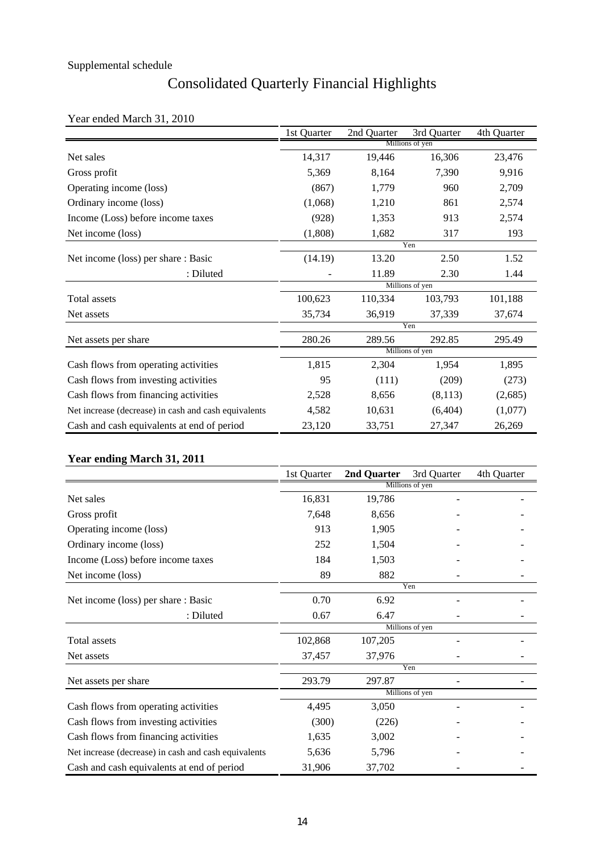## Consolidated Quarterly Financial Highlights

### Year ended March 31, 2010

|                                                      | 1st Quarter | 2nd Quarter | 3rd Quarter     | 4th Quarter |
|------------------------------------------------------|-------------|-------------|-----------------|-------------|
|                                                      |             |             | Millions of yen |             |
| Net sales                                            | 14,317      | 19,446      | 16,306          | 23,476      |
| Gross profit                                         | 5,369       | 8,164       | 7,390           | 9,916       |
| Operating income (loss)                              | (867)       | 1,779       | 960             | 2,709       |
| Ordinary income (loss)                               | (1,068)     | 1,210       | 861             | 2,574       |
| Income (Loss) before income taxes                    | (928)       | 1,353       | 913             | 2,574       |
| Net income (loss)                                    | (1,808)     | 1,682       | 317             | 193         |
|                                                      |             |             | Yen             |             |
| Net income (loss) per share : Basic                  | (14.19)     | 13.20       | 2.50            | 1.52        |
| : Diluted                                            |             | 11.89       | 2.30            | 1.44        |
|                                                      |             |             | Millions of yen |             |
| Total assets                                         | 100,623     | 110,334     | 103,793         | 101,188     |
| Net assets                                           | 35,734      | 36,919      | 37,339          | 37,674      |
|                                                      |             |             | Yen             |             |
| Net assets per share                                 | 280.26      | 289.56      | 292.85          | 295.49      |
|                                                      |             |             | Millions of yen |             |
| Cash flows from operating activities                 | 1,815       | 2,304       | 1,954           | 1,895       |
| Cash flows from investing activities                 | 95          | (111)       | (209)           | (273)       |
| Cash flows from financing activities                 | 2,528       | 8,656       | (8,113)         | (2,685)     |
| Net increase (decrease) in cash and cash equivalents | 4,582       | 10,631      | (6, 404)        | (1,077)     |
| Cash and cash equivalents at end of period           | 23,120      | 33,751      | 27,347          | 26,269      |

### **Year ending March 31, 2011**

|                                                      | 1st Quarter | 2nd Quarter | 3rd Quarter     | 4th Quarter |
|------------------------------------------------------|-------------|-------------|-----------------|-------------|
|                                                      |             |             | Millions of yen |             |
| Net sales                                            | 16,831      | 19,786      |                 |             |
| Gross profit                                         | 7,648       | 8,656       |                 |             |
| Operating income (loss)                              | 913         | 1,905       |                 |             |
| Ordinary income (loss)                               | 252         | 1,504       |                 |             |
| Income (Loss) before income taxes                    | 184         | 1,503       |                 |             |
| Net income (loss)                                    | 89          | 882         |                 |             |
|                                                      |             |             | Yen             |             |
| Net income (loss) per share : Basic                  | 0.70        | 6.92        |                 |             |
| : Diluted                                            | 0.67        | 6.47        |                 |             |
|                                                      |             |             | Millions of yen |             |
| Total assets                                         | 102,868     | 107,205     |                 |             |
| Net assets                                           | 37,457      | 37,976      |                 |             |
|                                                      |             |             | Yen             |             |
| Net assets per share                                 | 293.79      | 297.87      |                 |             |
|                                                      |             |             | Millions of yen |             |
| Cash flows from operating activities                 | 4,495       | 3,050       |                 |             |
| Cash flows from investing activities                 | (300)       | (226)       |                 |             |
| Cash flows from financing activities                 | 1,635       | 3,002       |                 |             |
| Net increase (decrease) in cash and cash equivalents | 5,636       | 5,796       |                 |             |
| Cash and cash equivalents at end of period           | 31,906      | 37,702      |                 |             |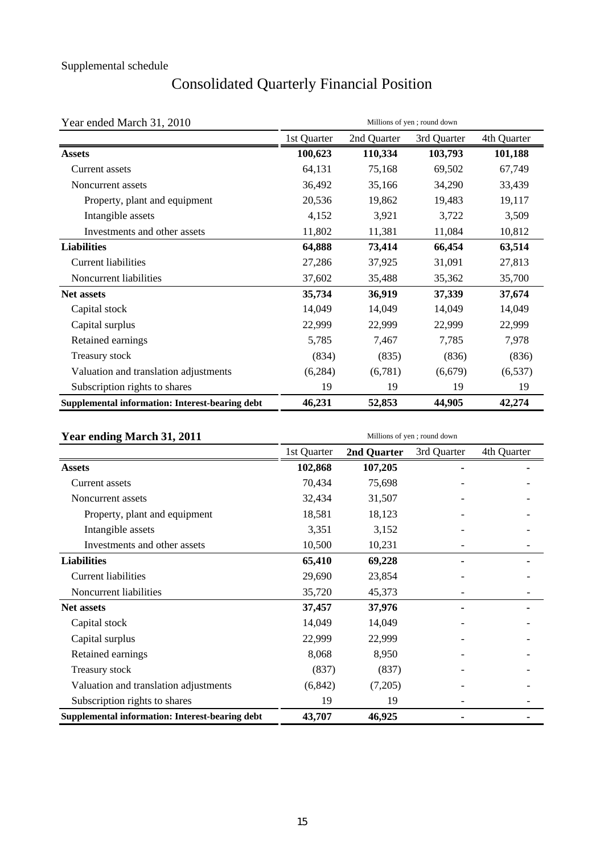# Consolidated Quarterly Financial Position

| Year ended March 31, 2010<br>Millions of yen; round down |             |             |             |             |  |  |
|----------------------------------------------------------|-------------|-------------|-------------|-------------|--|--|
|                                                          | 1st Quarter | 2nd Quarter | 3rd Quarter | 4th Quarter |  |  |
| <b>Assets</b>                                            | 100,623     | 110,334     | 103,793     | 101,188     |  |  |
| Current assets                                           | 64,131      | 75,168      | 69,502      | 67,749      |  |  |
| Noncurrent assets                                        | 36,492      | 35,166      | 34,290      | 33,439      |  |  |
| Property, plant and equipment                            | 20,536      | 19,862      | 19,483      | 19,117      |  |  |
| Intangible assets                                        | 4,152       | 3,921       | 3,722       | 3,509       |  |  |
| Investments and other assets                             | 11,802      | 11,381      | 11,084      | 10,812      |  |  |
| <b>Liabilities</b>                                       | 64,888      | 73,414      | 66,454      | 63,514      |  |  |
| Current liabilities                                      | 27,286      | 37,925      | 31,091      | 27,813      |  |  |
| Noncurrent liabilities                                   | 37,602      | 35,488      | 35,362      | 35,700      |  |  |
| <b>Net assets</b>                                        | 35,734      | 36,919      | 37,339      | 37,674      |  |  |
| Capital stock                                            | 14,049      | 14,049      | 14,049      | 14,049      |  |  |
| Capital surplus                                          | 22,999      | 22,999      | 22,999      | 22,999      |  |  |
| Retained earnings                                        | 5,785       | 7,467       | 7,785       | 7,978       |  |  |
| Treasury stock                                           | (834)       | (835)       | (836)       | (836)       |  |  |
| Valuation and translation adjustments                    | (6,284)     | (6,781)     | (6,679)     | (6, 537)    |  |  |
| Subscription rights to shares                            | 19          | 19          | 19          | 19          |  |  |
| Supplemental information: Interest-bearing debt          | 46,231      | 52,853      | 44,905      | 42,274      |  |  |

| Year ending March 31, 2011                             | Millions of yen; round down |             |             |             |  |  |  |
|--------------------------------------------------------|-----------------------------|-------------|-------------|-------------|--|--|--|
|                                                        | 1st Quarter                 | 2nd Quarter | 3rd Quarter | 4th Quarter |  |  |  |
| <b>Assets</b>                                          | 102,868                     | 107,205     |             |             |  |  |  |
| Current assets                                         | 70,434                      | 75,698      |             |             |  |  |  |
| Noncurrent assets                                      | 32,434                      | 31,507      |             |             |  |  |  |
| Property, plant and equipment                          | 18,581                      | 18,123      |             |             |  |  |  |
| Intangible assets                                      | 3,351                       | 3,152       |             |             |  |  |  |
| Investments and other assets                           | 10,500                      | 10,231      |             |             |  |  |  |
| <b>Liabilities</b>                                     | 65,410                      | 69,228      |             |             |  |  |  |
| <b>Current liabilities</b>                             | 29,690                      | 23,854      |             |             |  |  |  |
| Noncurrent liabilities                                 | 35,720                      | 45,373      |             |             |  |  |  |
| <b>Net assets</b>                                      | 37,457                      | 37,976      |             |             |  |  |  |
| Capital stock                                          | 14,049                      | 14,049      |             |             |  |  |  |
| Capital surplus                                        | 22,999                      | 22,999      |             |             |  |  |  |
| Retained earnings                                      | 8,068                       | 8,950       |             |             |  |  |  |
| Treasury stock                                         | (837)                       | (837)       |             |             |  |  |  |
| Valuation and translation adjustments                  | (6, 842)                    | (7,205)     |             |             |  |  |  |
| Subscription rights to shares                          | 19                          | 19          |             |             |  |  |  |
| <b>Supplemental information: Interest-bearing debt</b> | 43,707                      | 46,925      |             |             |  |  |  |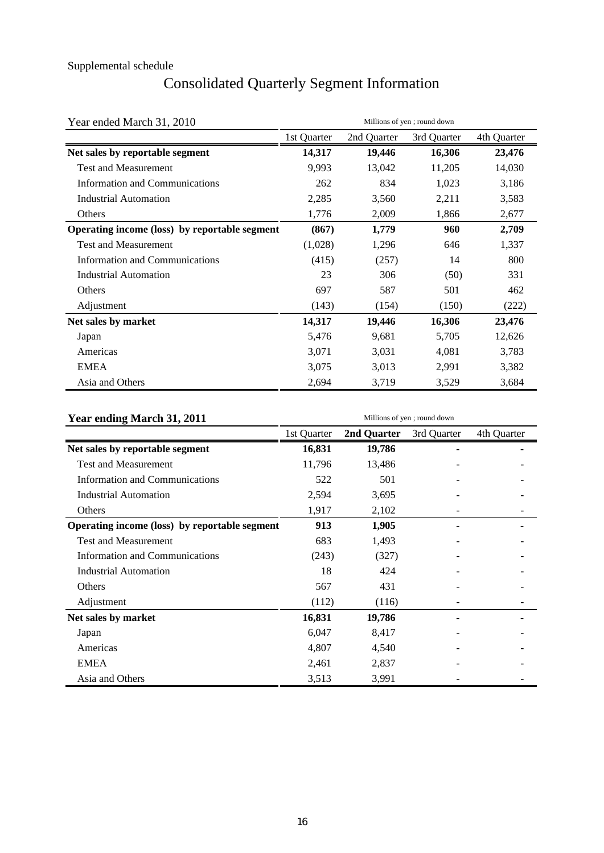## Consolidated Quarterly Segment Information

| Year ended March 31, 2010                     | Millions of yen; round down |             |             |             |  |  |
|-----------------------------------------------|-----------------------------|-------------|-------------|-------------|--|--|
|                                               | 1st Quarter                 | 2nd Quarter | 3rd Quarter | 4th Quarter |  |  |
| Net sales by reportable segment               | 14,317                      | 19,446      | 16,306      | 23,476      |  |  |
| <b>Test and Measurement</b>                   | 9,993                       | 13,042      | 11,205      | 14,030      |  |  |
| <b>Information and Communications</b>         | 262                         | 834         | 1,023       | 3,186       |  |  |
| <b>Industrial Automation</b>                  | 2,285                       | 3,560       | 2,211       | 3,583       |  |  |
| Others                                        | 1,776                       | 2,009       | 1,866       | 2,677       |  |  |
| Operating income (loss) by reportable segment | (867)                       | 1,779       | 960         | 2,709       |  |  |
| <b>Test and Measurement</b>                   | (1,028)                     | 1,296       | 646         | 1,337       |  |  |
| Information and Communications                | (415)                       | (257)       | 14          | 800         |  |  |
| <b>Industrial Automation</b>                  | 23                          | 306         | (50)        | 331         |  |  |
| Others                                        | 697                         | 587         | 501         | 462         |  |  |
| Adjustment                                    | (143)                       | (154)       | (150)       | (222)       |  |  |
| Net sales by market                           | 14,317                      | 19,446      | 16,306      | 23,476      |  |  |
| Japan                                         | 5,476                       | 9,681       | 5,705       | 12,626      |  |  |
| Americas                                      | 3,071                       | 3,031       | 4,081       | 3,783       |  |  |
| <b>EMEA</b>                                   | 3,075                       | 3,013       | 2,991       | 3,382       |  |  |
| Asia and Others                               | 2,694                       | 3,719       | 3,529       | 3,684       |  |  |

| Year ending March 31, 2011                    | Millions of yen; round down |             |             |             |  |  |  |
|-----------------------------------------------|-----------------------------|-------------|-------------|-------------|--|--|--|
|                                               | 1st Quarter                 | 2nd Quarter | 3rd Quarter | 4th Quarter |  |  |  |
| Net sales by reportable segment               | 16,831                      | 19,786      |             |             |  |  |  |
| <b>Test and Measurement</b>                   | 11,796                      | 13,486      |             |             |  |  |  |
| <b>Information and Communications</b>         | 522                         | 501         |             |             |  |  |  |
| <b>Industrial Automation</b>                  | 2,594                       | 3,695       |             |             |  |  |  |
| Others                                        | 1,917                       | 2,102       |             |             |  |  |  |
| Operating income (loss) by reportable segment | 913                         | 1,905       |             |             |  |  |  |
| <b>Test and Measurement</b>                   | 683                         | 1,493       |             |             |  |  |  |
| Information and Communications                | (243)                       | (327)       |             |             |  |  |  |
| <b>Industrial Automation</b>                  | 18                          | 424         |             |             |  |  |  |
| Others                                        | 567                         | 431         |             |             |  |  |  |
| Adjustment                                    | (112)                       | (116)       |             |             |  |  |  |
| Net sales by market                           | 16,831                      | 19,786      |             |             |  |  |  |
| Japan                                         | 6,047                       | 8,417       |             |             |  |  |  |
| Americas                                      | 4,807                       | 4,540       |             |             |  |  |  |
| <b>EMEA</b>                                   | 2,461                       | 2,837       |             |             |  |  |  |
| Asia and Others                               | 3,513                       | 3,991       |             |             |  |  |  |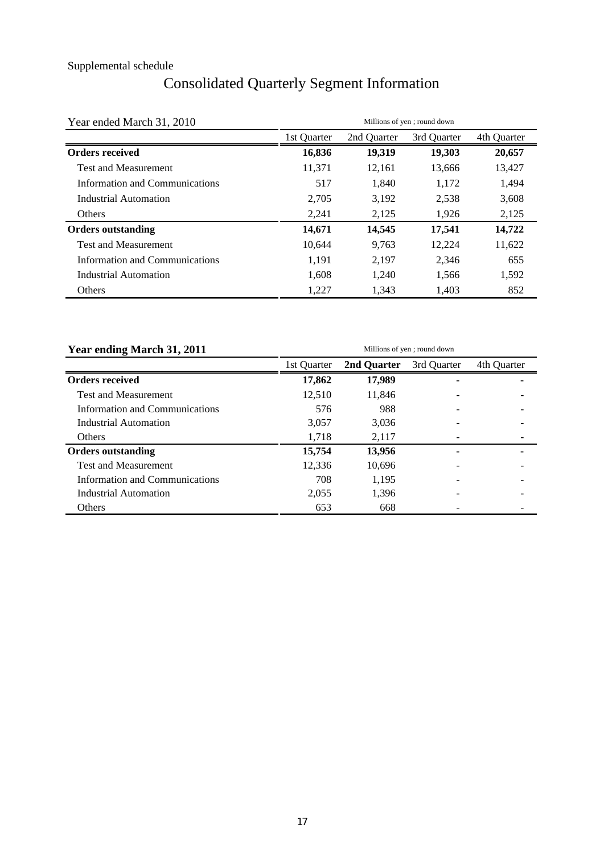## Consolidated Quarterly Segment Information

| Year ended March 31, 2010      | Millions of yen; round down |             |             |             |  |  |  |
|--------------------------------|-----------------------------|-------------|-------------|-------------|--|--|--|
|                                | 1st Quarter                 | 2nd Quarter | 3rd Quarter | 4th Quarter |  |  |  |
| <b>Orders received</b>         | 16,836                      | 19,319      | 19,303      | 20,657      |  |  |  |
| <b>Test and Measurement</b>    | 11,371                      | 12.161      | 13,666      | 13,427      |  |  |  |
| Information and Communications | 517                         | 1,840       | 1,172       | 1,494       |  |  |  |
| Industrial Automation          | 2,705                       | 3,192       | 2,538       | 3,608       |  |  |  |
| <b>Others</b>                  | 2,241                       | 2,125       | 1,926       | 2,125       |  |  |  |
| <b>Orders outstanding</b>      | 14,671                      | 14,545      | 17,541      | 14,722      |  |  |  |
| <b>Test and Measurement</b>    | 10,644                      | 9,763       | 12,224      | 11,622      |  |  |  |
| Information and Communications | 1,191                       | 2,197       | 2,346       | 655         |  |  |  |
| Industrial Automation          | 1,608                       | 1,240       | 1,566       | 1,592       |  |  |  |
| Others                         | 1,227                       | 1,343       | 1,403       | 852         |  |  |  |

| Year ending March 31, 2011     | Millions of yen; round down |             |             |             |  |  |  |
|--------------------------------|-----------------------------|-------------|-------------|-------------|--|--|--|
|                                | 1st Ouarter                 | 2nd Ouarter | 3rd Ouarter | 4th Ouarter |  |  |  |
| <b>Orders received</b>         | 17,862                      | 17,989      | ٠           |             |  |  |  |
| <b>Test and Measurement</b>    | 12.510                      | 11.846      |             |             |  |  |  |
| Information and Communications | 576                         | 988         |             |             |  |  |  |
| Industrial Automation          | 3.057                       | 3.036       |             |             |  |  |  |
| <b>Others</b>                  | 1.718                       | 2,117       |             |             |  |  |  |
| <b>Orders outstanding</b>      | 15,754                      | 13,956      |             |             |  |  |  |
| <b>Test and Measurement</b>    | 12.336                      | 10,696      |             |             |  |  |  |
| Information and Communications | 708                         | 1.195       |             |             |  |  |  |
| Industrial Automation          | 2,055                       | 1,396       |             |             |  |  |  |
| Others                         | 653                         | 668         |             |             |  |  |  |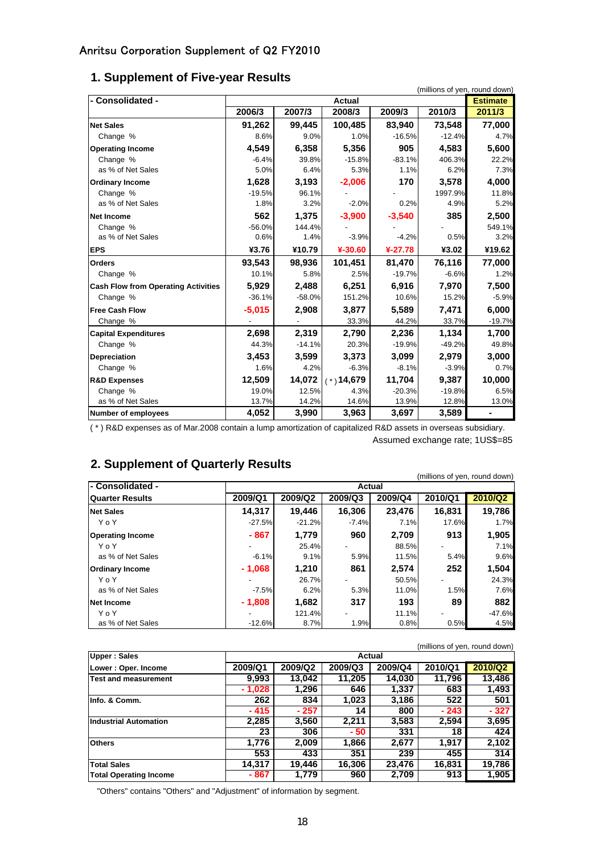| - Consolidated -                           |          | (millions of yen, round down)<br><b>Estimate</b> |                  |           |          |          |
|--------------------------------------------|----------|--------------------------------------------------|------------------|-----------|----------|----------|
|                                            | 2006/3   | 2007/3                                           | Actual<br>2008/3 | 2009/3    | 2010/3   | 2011/3   |
|                                            |          |                                                  |                  |           |          |          |
| <b>Net Sales</b>                           | 91,262   | 99,445                                           | 100,485          | 83,940    | 73,548   | 77,000   |
| Change %                                   | 8.6%     | 9.0%                                             | 1.0%             | $-16.5%$  | $-12.4%$ | 4.7%     |
| <b>Operating Income</b>                    | 4,549    | 6,358                                            | 5.356            | 905       | 4,583    | 5,600    |
| Change %                                   | $-6.4%$  | 39.8%                                            | $-15.8%$         | $-83.1%$  | 406.3%   | 22.2%    |
| as % of Net Sales                          | 5.0%     | 6.4%                                             | 5.3%             | 1.1%      | 6.2%     | 7.3%     |
| <b>Ordinary Income</b>                     | 1,628    | 3,193                                            | $-2,006$         | 170       | 3,578    | 4,000    |
| Change %                                   | $-19.5%$ | 96.1%                                            |                  |           | 1997.9%  | 11.8%    |
| as % of Net Sales                          | 1.8%     | 3.2%                                             | $-2.0%$          | 0.2%      | 4.9%     | 5.2%     |
| <b>Net Income</b>                          | 562      | 1,375                                            | $-3,900$         | $-3,540$  | 385      | 2,500    |
| Change %                                   | $-56.0%$ | 144.4%                                           |                  |           |          | 549.1%   |
| as % of Net Sales                          | 0.6%     | 1.4%                                             | $-3.9%$          | $-4.2%$   | 0.5%     | 3.2%     |
| <b>EPS</b>                                 | ¥3.76    | ¥10.79                                           | ¥-30.60          | $4-27.78$ | ¥3.02    | ¥19.62   |
| <b>Orders</b>                              | 93,543   | 98,936                                           | 101,451          | 81,470    | 76,116   | 77,000   |
| Change %                                   | 10.1%    | 5.8%                                             | 2.5%             | $-19.7%$  | $-6.6%$  | 1.2%     |
| <b>Cash Flow from Operating Activities</b> | 5,929    | 2,488                                            | 6,251            | 6,916     | 7,970    | 7,500    |
| Change %                                   | $-36.1%$ | $-58.0%$                                         | 151.2%           | 10.6%     | 15.2%    | $-5.9%$  |
| <b>Free Cash Flow</b>                      | $-5,015$ | 2,908                                            | 3,877            | 5,589     | 7,471    | 6,000    |
| Change %                                   |          |                                                  | 33.3%            | 44.2%     | 33.7%    | $-19.7%$ |
| <b>Capital Expenditures</b>                | 2,698    | 2,319                                            | 2,790            | 2,236     | 1,134    | 1,700    |
| Change %                                   | 44.3%    | $-14.1%$                                         | 20.3%            | $-19.9%$  | $-49.2%$ | 49.8%    |
| <b>Depreciation</b>                        | 3,453    | 3,599                                            | 3,373            | 3,099     | 2,979    | 3,000    |
| Change %                                   | 1.6%     | 4.2%                                             | $-6.3%$          | $-8.1%$   | $-3.9%$  | 0.7%     |
| <b>R&amp;D Expenses</b>                    | 12,509   | 14.072                                           | $(*)$ 14,679     | 11,704    | 9,387    | 10,000   |
| Change %                                   | 19.0%    | 12.5%                                            | 4.3%             | $-20.3%$  | $-19.8%$ | 6.5%     |
| as % of Net Sales                          | 13.7%    | 14.2%                                            | 14.6%            | 13.9%     | 12.8%    | 13.0%    |
| <b>Number of employees</b>                 | 4,052    | 3,990                                            | 3,963            | 3,697     | 3,589    |          |

### **1. Supplement of Five-year Results**

( \* ) R&D expenses as of Mar.2008 contain a lump amortization of capitalized R&D assets in overseas subsidiary. Assumed exchange rate; 1US\$=85

### **2. Supplement of Quarterly Results**

|                         |          |          |         |         | (millions of yen, round down) |          |  |  |  |  |
|-------------------------|----------|----------|---------|---------|-------------------------------|----------|--|--|--|--|
| l- Consolidated -       |          | Actual   |         |         |                               |          |  |  |  |  |
| <b>Quarter Results</b>  | 2009/Q1  | 2009/Q2  | 2009/Q3 | 2009/Q4 | 2010/Q1                       | 2010/Q2  |  |  |  |  |
| <b>Net Sales</b>        | 14.317   | 19.446   | 16,306  | 23,476  | 16,831                        | 19,786   |  |  |  |  |
| YoY                     | $-27.5%$ | $-21.2%$ | $-7.4%$ | 7.1%    | 17.6%                         | 1.7%     |  |  |  |  |
| <b>Operating Income</b> | - 867    | 1.779    | 960     | 2.709   | 913                           | 1,905    |  |  |  |  |
| YoY                     | -        | 25.4%    |         | 88.5%   |                               | 7.1%     |  |  |  |  |
| as % of Net Sales       | $-6.1%$  | 9.1%     | 5.9%    | 11.5%   | 5.4%                          | 9.6%     |  |  |  |  |
| <b>Ordinary Income</b>  | $-1,068$ | 1.210    | 861     | 2,574   | 252                           | 1,504    |  |  |  |  |
| YoY                     | ۰        | 26.7%    |         | 50.5%   |                               | 24.3%    |  |  |  |  |
| as % of Net Sales       | $-7.5%$  | 6.2%     | 5.3%    | 11.0%   | 1.5%                          | 7.6%     |  |  |  |  |
| Net Income              | $-1,808$ | 1,682    | 317     | 193     | 89                            | 882      |  |  |  |  |
| YoY                     |          | 121.4%   |         | 11.1%   |                               | $-47.6%$ |  |  |  |  |
| as % of Net Sales       | $-12.6%$ | 8.7%     | 1.9%    | 0.8%    | 0.5%                          | 4.5%     |  |  |  |  |

| (millions of yen, round down) |          |                                                     |        |        |        |        |  |  |  |  |  |
|-------------------------------|----------|-----------------------------------------------------|--------|--------|--------|--------|--|--|--|--|--|
| <b>Upper: Sales</b>           | Actual   |                                                     |        |        |        |        |  |  |  |  |  |
| Lower: Oper. Income           | 2009/Q1  | 2010/Q2<br>2009/Q2<br>2009/Q4<br>2010/Q1<br>2009/Q3 |        |        |        |        |  |  |  |  |  |
| Test and measurement          | 9,993    | 13,042                                              | 11,205 | 14,030 | 11.796 | 13,486 |  |  |  |  |  |
|                               | $-1,028$ | 1,296                                               | 646    | 1,337  | 683    | 1,493  |  |  |  |  |  |
| Info. & Comm.                 | 262      | 834                                                 | 1.023  | 3,186  | 522    | 501    |  |  |  |  |  |
|                               | - 415    | $-257$                                              | 14     | 800    | - 243  | $-327$ |  |  |  |  |  |
| <b>Industrial Automation</b>  | 2,285    | 3,560                                               | 2,211  | 3,583  | 2,594  | 3,695  |  |  |  |  |  |
|                               | 23       | 306                                                 | - 50   | 331    | 18     | 424    |  |  |  |  |  |
| <b>Others</b>                 | 1.776    | 2.009                                               | 1,866  | 2,677  | 1,917  | 2,102  |  |  |  |  |  |
|                               | 553      | 433                                                 | 351    | 239    | 455    | 314    |  |  |  |  |  |
| <b>Total Sales</b>            | 14.317   | 19.446                                              | 16.306 | 23.476 | 16.831 | 19,786 |  |  |  |  |  |
| <b>Total Operating Income</b> | - 867    | 1,779                                               | 960    | 2,709  | 913    | 1,905  |  |  |  |  |  |

"Others" contains "Others" and "Adjustment" of information by segment.

(millions of yen, round down)